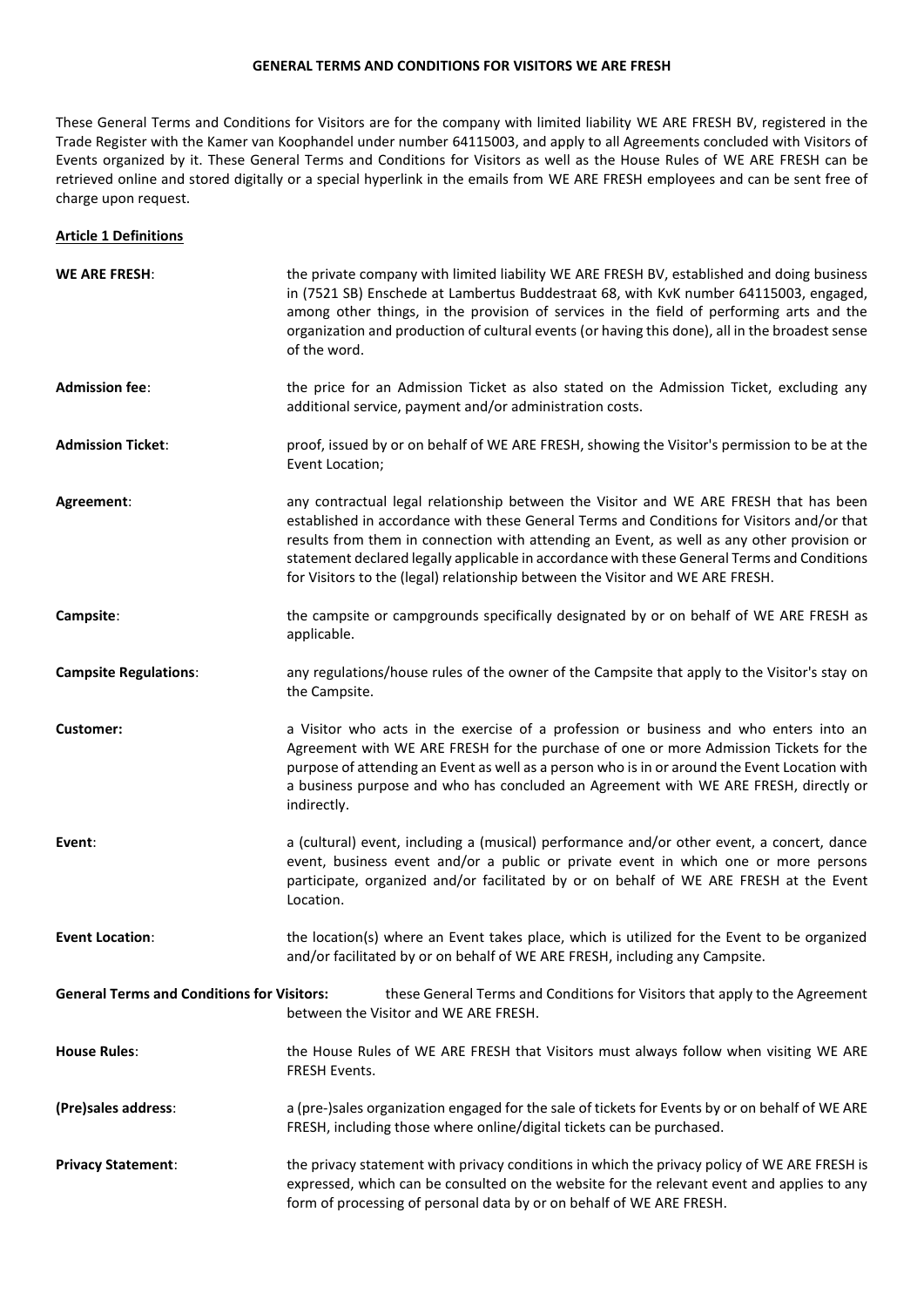#### **GENERAL TERMS AND CONDITIONS FOR VISITORS WE ARE FRESH**

These General Terms and Conditions for Visitors are for the company with limited liability WE ARE FRESH BV, registered in the Trade Register with the Kamer van Koophandel under number 64115003, and apply to all Agreements concluded with Visitors of Events organized by it. These General Terms and Conditions for Visitors as well as the House Rules of WE ARE FRESH can be retrieved online and stored digitally or a special hyperlink in the emails from WE ARE FRESH employees and can be sent free of charge upon request.

### **Article 1 Definitions**

| <b>WE ARE FRESH:</b>                              | the private company with limited liability WE ARE FRESH BV, established and doing business<br>in (7521 SB) Enschede at Lambertus Buddestraat 68, with KvK number 64115003, engaged,<br>among other things, in the provision of services in the field of performing arts and the<br>organization and production of cultural events (or having this done), all in the broadest sense<br>of the word.                                                                 |
|---------------------------------------------------|--------------------------------------------------------------------------------------------------------------------------------------------------------------------------------------------------------------------------------------------------------------------------------------------------------------------------------------------------------------------------------------------------------------------------------------------------------------------|
| <b>Admission fee:</b>                             | the price for an Admission Ticket as also stated on the Admission Ticket, excluding any<br>additional service, payment and/or administration costs.                                                                                                                                                                                                                                                                                                                |
| <b>Admission Ticket:</b>                          | proof, issued by or on behalf of WE ARE FRESH, showing the Visitor's permission to be at the<br>Event Location;                                                                                                                                                                                                                                                                                                                                                    |
| Agreement:                                        | any contractual legal relationship between the Visitor and WE ARE FRESH that has been<br>established in accordance with these General Terms and Conditions for Visitors and/or that<br>results from them in connection with attending an Event, as well as any other provision or<br>statement declared legally applicable in accordance with these General Terms and Conditions<br>for Visitors to the (legal) relationship between the Visitor and WE ARE FRESH. |
| Campsite:                                         | the campsite or campgrounds specifically designated by or on behalf of WE ARE FRESH as<br>applicable.                                                                                                                                                                                                                                                                                                                                                              |
| <b>Campsite Regulations:</b>                      | any regulations/house rules of the owner of the Campsite that apply to the Visitor's stay on<br>the Campsite.                                                                                                                                                                                                                                                                                                                                                      |
| Customer:                                         | a Visitor who acts in the exercise of a profession or business and who enters into an<br>Agreement with WE ARE FRESH for the purchase of one or more Admission Tickets for the<br>purpose of attending an Event as well as a person who is in or around the Event Location with<br>a business purpose and who has concluded an Agreement with WE ARE FRESH, directly or<br>indirectly.                                                                             |
| Event:                                            | a (cultural) event, including a (musical) performance and/or other event, a concert, dance<br>event, business event and/or a public or private event in which one or more persons<br>participate, organized and/or facilitated by or on behalf of WE ARE FRESH at the Event<br>Location.                                                                                                                                                                           |
| <b>Event Location:</b>                            | the location(s) where an Event takes place, which is utilized for the Event to be organized<br>and/or facilitated by or on behalf of WE ARE FRESH, including any Campsite.                                                                                                                                                                                                                                                                                         |
| <b>General Terms and Conditions for Visitors:</b> | these General Terms and Conditions for Visitors that apply to the Agreement<br>between the Visitor and WE ARE FRESH.                                                                                                                                                                                                                                                                                                                                               |
| <b>House Rules:</b>                               | the House Rules of WE ARE FRESH that Visitors must always follow when visiting WE ARE<br>FRESH Events.                                                                                                                                                                                                                                                                                                                                                             |
| (Pre)sales address:                               | a (pre-)sales organization engaged for the sale of tickets for Events by or on behalf of WE ARE<br>FRESH, including those where online/digital tickets can be purchased.                                                                                                                                                                                                                                                                                           |
| <b>Privacy Statement:</b>                         | the privacy statement with privacy conditions in which the privacy policy of WE ARE FRESH is<br>expressed, which can be consulted on the website for the relevant event and applies to any<br>form of processing of personal data by or on behalf of WE ARE FRESH.                                                                                                                                                                                                 |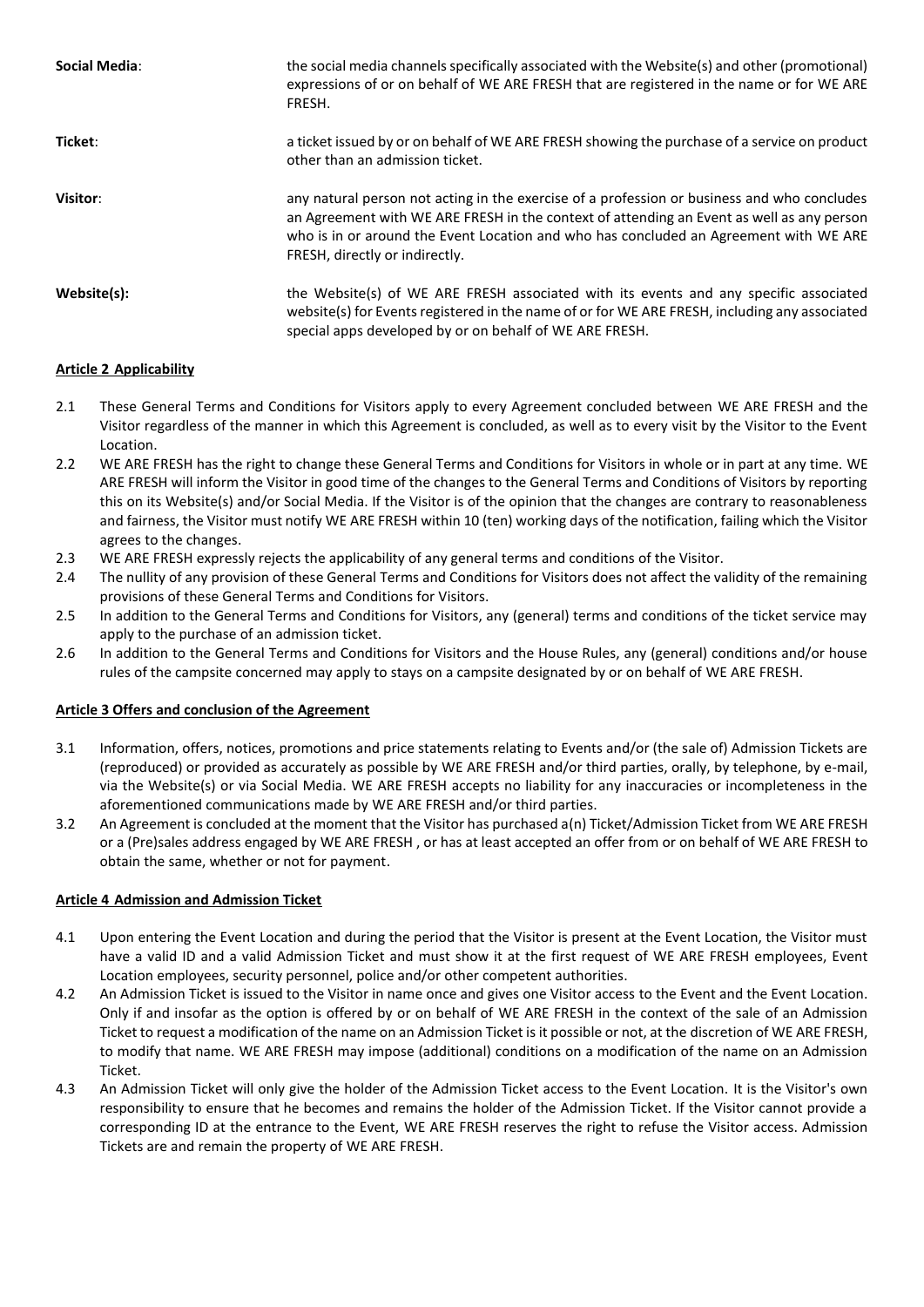| Social Media: | the social media channels specifically associated with the Website(s) and other (promotional)<br>expressions of or on behalf of WE ARE FRESH that are registered in the name or for WE ARE<br>FRESH.                                                                                                                |
|---------------|---------------------------------------------------------------------------------------------------------------------------------------------------------------------------------------------------------------------------------------------------------------------------------------------------------------------|
| Ticket:       | a ticket issued by or on behalf of WE ARE FRESH showing the purchase of a service on product<br>other than an admission ticket.                                                                                                                                                                                     |
| Visitor:      | any natural person not acting in the exercise of a profession or business and who concludes<br>an Agreement with WE ARE FRESH in the context of attending an Event as well as any person<br>who is in or around the Event Location and who has concluded an Agreement with WE ARE<br>FRESH, directly or indirectly. |
| Website(s):   | the Website(s) of WE ARE FRESH associated with its events and any specific associated<br>website(s) for Events registered in the name of or for WE ARE FRESH, including any associated<br>special apps developed by or on behalf of WE ARE FRESH.                                                                   |

# **Article 2 Applicability**

- 2.1 These General Terms and Conditions for Visitors apply to every Agreement concluded between WE ARE FRESH and the Visitor regardless of the manner in which this Agreement is concluded, as well as to every visit by the Visitor to the Event Location.
- 2.2 WE ARE FRESH has the right to change these General Terms and Conditions for Visitors in whole or in part at any time. WE ARE FRESH will inform the Visitor in good time of the changes to the General Terms and Conditions of Visitors by reporting this on its Website(s) and/or Social Media. If the Visitor is of the opinion that the changes are contrary to reasonableness and fairness, the Visitor must notify WE ARE FRESH within 10 (ten) working days of the notification, failing which the Visitor agrees to the changes.
- 2.3 WE ARE FRESH expressly rejects the applicability of any general terms and conditions of the Visitor.
- 2.4 The nullity of any provision of these General Terms and Conditions for Visitors does not affect the validity of the remaining provisions of these General Terms and Conditions for Visitors.
- 2.5 In addition to the General Terms and Conditions for Visitors, any (general) terms and conditions of the ticket service may apply to the purchase of an admission ticket.
- 2.6 In addition to the General Terms and Conditions for Visitors and the House Rules, any (general) conditions and/or house rules of the campsite concerned may apply to stays on a campsite designated by or on behalf of WE ARE FRESH.

## **Article 3 Offers and conclusion of the Agreement**

- 3.1 Information, offers, notices, promotions and price statements relating to Events and/or (the sale of) Admission Tickets are (reproduced) or provided as accurately as possible by WE ARE FRESH and/or third parties, orally, by telephone, by e-mail, via the Website(s) or via Social Media. WE ARE FRESH accepts no liability for any inaccuracies or incompleteness in the aforementioned communications made by WE ARE FRESH and/or third parties.
- 3.2 An Agreement is concluded at the moment that the Visitor has purchased a(n) Ticket/Admission Ticket from WE ARE FRESH or a (Pre)sales address engaged by WE ARE FRESH , or has at least accepted an offer from or on behalf of WE ARE FRESH to obtain the same, whether or not for payment.

## **Article 4 Admission and Admission Ticket**

- 4.1 Upon entering the Event Location and during the period that the Visitor is present at the Event Location, the Visitor must have a valid ID and a valid Admission Ticket and must show it at the first request of WE ARE FRESH employees, Event Location employees, security personnel, police and/or other competent authorities.
- 4.2 An Admission Ticket is issued to the Visitor in name once and gives one Visitor access to the Event and the Event Location. Only if and insofar as the option is offered by or on behalf of WE ARE FRESH in the context of the sale of an Admission Ticket to request a modification of the name on an Admission Ticket is it possible or not, at the discretion of WE ARE FRESH, to modify that name. WE ARE FRESH may impose (additional) conditions on a modification of the name on an Admission Ticket.
- 4.3 An Admission Ticket will only give the holder of the Admission Ticket access to the Event Location. It is the Visitor's own responsibility to ensure that he becomes and remains the holder of the Admission Ticket. If the Visitor cannot provide a corresponding ID at the entrance to the Event, WE ARE FRESH reserves the right to refuse the Visitor access. Admission Tickets are and remain the property of WE ARE FRESH.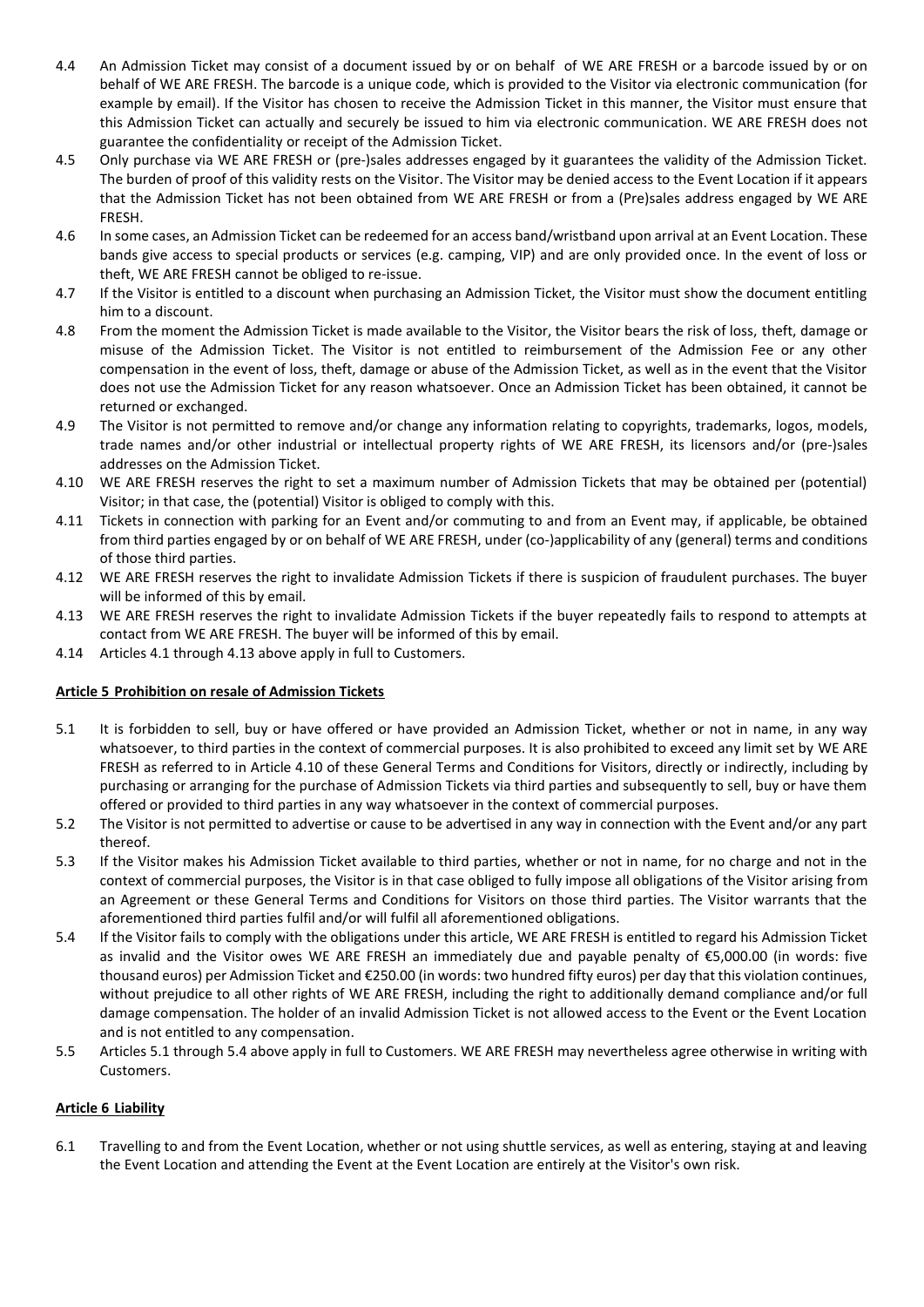- 4.4 An Admission Ticket may consist of a document issued by or on behalf of WE ARE FRESH or a barcode issued by or on behalf of WE ARE FRESH. The barcode is a unique code, which is provided to the Visitor via electronic communication (for example by email). If the Visitor has chosen to receive the Admission Ticket in this manner, the Visitor must ensure that this Admission Ticket can actually and securely be issued to him via electronic communication. WE ARE FRESH does not guarantee the confidentiality or receipt of the Admission Ticket.
- 4.5 Only purchase via WE ARE FRESH or (pre-)sales addresses engaged by it guarantees the validity of the Admission Ticket. The burden of proof of this validity rests on the Visitor. The Visitor may be denied access to the Event Location if it appears that the Admission Ticket has not been obtained from WE ARE FRESH or from a (Pre)sales address engaged by WE ARE FRESH.
- 4.6 In some cases, an Admission Ticket can be redeemed for an access band/wristband upon arrival at an Event Location. These bands give access to special products or services (e.g. camping, VIP) and are only provided once. In the event of loss or theft, WE ARE FRESH cannot be obliged to re-issue.
- 4.7 If the Visitor is entitled to a discount when purchasing an Admission Ticket, the Visitor must show the document entitling him to a discount.
- 4.8 From the moment the Admission Ticket is made available to the Visitor, the Visitor bears the risk of loss, theft, damage or misuse of the Admission Ticket. The Visitor is not entitled to reimbursement of the Admission Fee or any other compensation in the event of loss, theft, damage or abuse of the Admission Ticket, as well as in the event that the Visitor does not use the Admission Ticket for any reason whatsoever. Once an Admission Ticket has been obtained, it cannot be returned or exchanged.
- 4.9 The Visitor is not permitted to remove and/or change any information relating to copyrights, trademarks, logos, models, trade names and/or other industrial or intellectual property rights of WE ARE FRESH, its licensors and/or (pre-)sales addresses on the Admission Ticket.
- 4.10 WE ARE FRESH reserves the right to set a maximum number of Admission Tickets that may be obtained per (potential) Visitor; in that case, the (potential) Visitor is obliged to comply with this.
- 4.11 Tickets in connection with parking for an Event and/or commuting to and from an Event may, if applicable, be obtained from third parties engaged by or on behalf of WE ARE FRESH, under (co-)applicability of any (general) terms and conditions of those third parties.
- 4.12 WE ARE FRESH reserves the right to invalidate Admission Tickets if there is suspicion of fraudulent purchases. The buyer will be informed of this by email.
- 4.13 WE ARE FRESH reserves the right to invalidate Admission Tickets if the buyer repeatedly fails to respond to attempts at contact from WE ARE FRESH. The buyer will be informed of this by email.
- 4.14 Articles 4.1 through 4.13 above apply in full to Customers.

# **Article 5 Prohibition on resale of Admission Tickets**

- 5.1 It is forbidden to sell, buy or have offered or have provided an Admission Ticket, whether or not in name, in any way whatsoever, to third parties in the context of commercial purposes. It is also prohibited to exceed any limit set by WE ARE FRESH as referred to in Article 4.10 of these General Terms and Conditions for Visitors, directly or indirectly, including by purchasing or arranging for the purchase of Admission Tickets via third parties and subsequently to sell, buy or have them offered or provided to third parties in any way whatsoever in the context of commercial purposes.
- 5.2 The Visitor is not permitted to advertise or cause to be advertised in any way in connection with the Event and/or any part thereof.
- 5.3 If the Visitor makes his Admission Ticket available to third parties, whether or not in name, for no charge and not in the context of commercial purposes, the Visitor is in that case obliged to fully impose all obligations of the Visitor arising from an Agreement or these General Terms and Conditions for Visitors on those third parties. The Visitor warrants that the aforementioned third parties fulfil and/or will fulfil all aforementioned obligations.
- 5.4 If the Visitor fails to comply with the obligations under this article, WE ARE FRESH is entitled to regard his Admission Ticket as invalid and the Visitor owes WE ARE FRESH an immediately due and payable penalty of €5,000.00 (in words: five thousand euros) per Admission Ticket and €250.00 (in words: two hundred fifty euros) per day that this violation continues, without prejudice to all other rights of WE ARE FRESH, including the right to additionally demand compliance and/or full damage compensation. The holder of an invalid Admission Ticket is not allowed access to the Event or the Event Location and is not entitled to any compensation.
- 5.5 Articles 5.1 through 5.4 above apply in full to Customers. WE ARE FRESH may nevertheless agree otherwise in writing with Customers.

## **Article 6 Liability**

6.1 Travelling to and from the Event Location, whether or not using shuttle services, as well as entering, staying at and leaving the Event Location and attending the Event at the Event Location are entirely at the Visitor's own risk.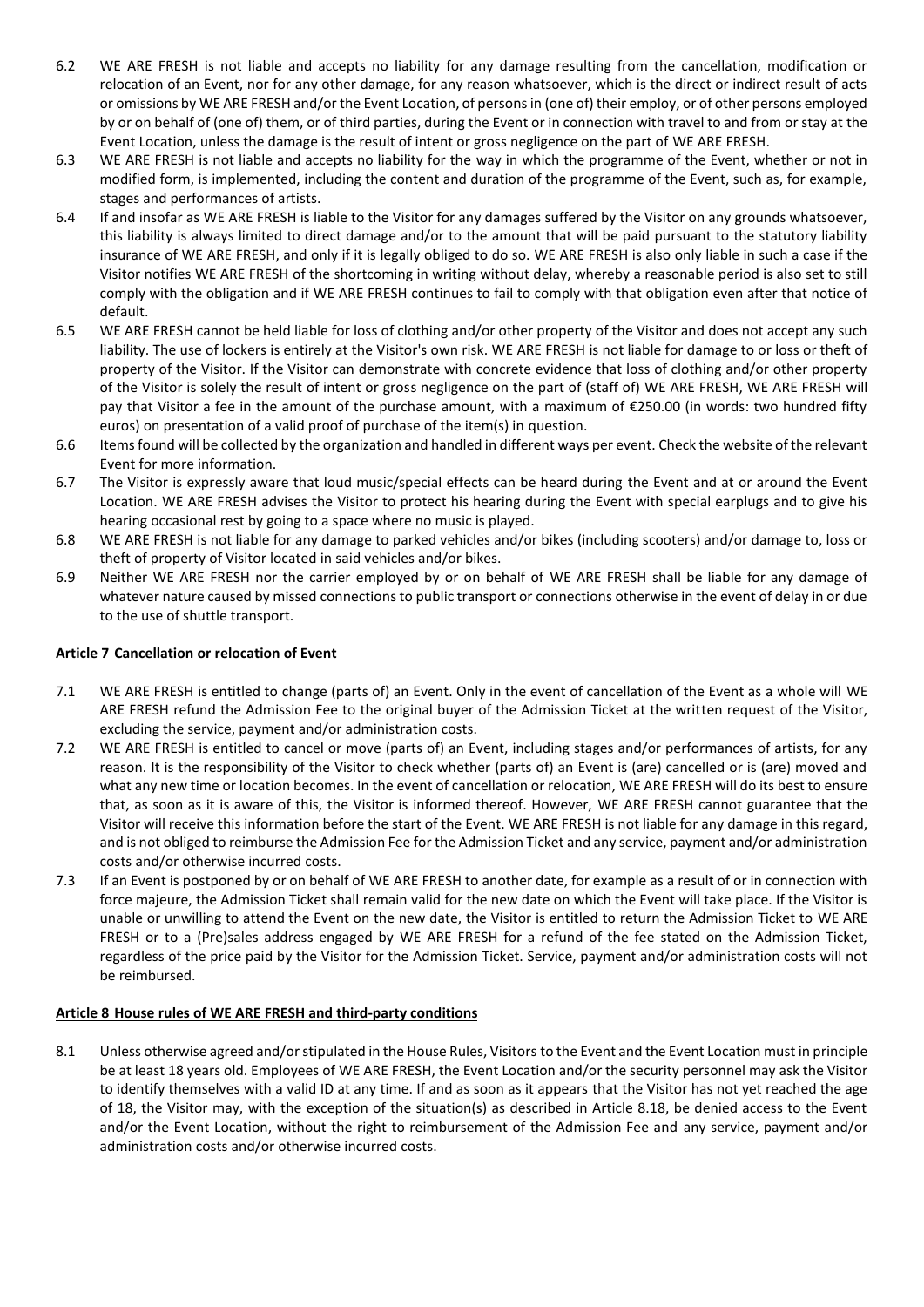- 6.2 WE ARE FRESH is not liable and accepts no liability for any damage resulting from the cancellation, modification or relocation of an Event, nor for any other damage, for any reason whatsoever, which is the direct or indirect result of acts or omissions by WE ARE FRESH and/or the Event Location, of persons in (one of) their employ, or of other persons employed by or on behalf of (one of) them, or of third parties, during the Event or in connection with travel to and from or stay at the Event Location, unless the damage is the result of intent or gross negligence on the part of WE ARE FRESH.
- 6.3 WE ARE FRESH is not liable and accepts no liability for the way in which the programme of the Event, whether or not in modified form, is implemented, including the content and duration of the programme of the Event, such as, for example, stages and performances of artists.
- 6.4 If and insofar as WE ARE FRESH is liable to the Visitor for any damages suffered by the Visitor on any grounds whatsoever, this liability is always limited to direct damage and/or to the amount that will be paid pursuant to the statutory liability insurance of WE ARE FRESH, and only if it is legally obliged to do so. WE ARE FRESH is also only liable in such a case if the Visitor notifies WE ARE FRESH of the shortcoming in writing without delay, whereby a reasonable period is also set to still comply with the obligation and if WE ARE FRESH continues to fail to comply with that obligation even after that notice of default.
- 6.5 WE ARE FRESH cannot be held liable for loss of clothing and/or other property of the Visitor and does not accept any such liability. The use of lockers is entirely at the Visitor's own risk. WE ARE FRESH is not liable for damage to or loss or theft of property of the Visitor. If the Visitor can demonstrate with concrete evidence that loss of clothing and/or other property of the Visitor is solely the result of intent or gross negligence on the part of (staff of) WE ARE FRESH, WE ARE FRESH will pay that Visitor a fee in the amount of the purchase amount, with a maximum of €250.00 (in words: two hundred fifty euros) on presentation of a valid proof of purchase of the item(s) in question.
- 6.6 Items found will be collected by the organization and handled in different ways per event. Check the website of the relevant Event for more information.
- 6.7 The Visitor is expressly aware that loud music/special effects can be heard during the Event and at or around the Event Location. WE ARE FRESH advises the Visitor to protect his hearing during the Event with special earplugs and to give his hearing occasional rest by going to a space where no music is played.
- 6.8 WE ARE FRESH is not liable for any damage to parked vehicles and/or bikes (including scooters) and/or damage to, loss or theft of property of Visitor located in said vehicles and/or bikes.
- 6.9 Neither WE ARE FRESH nor the carrier employed by or on behalf of WE ARE FRESH shall be liable for any damage of whatever nature caused by missed connections to public transport or connections otherwise in the event of delay in or due to the use of shuttle transport.

## **Article 7 Cancellation or relocation of Event**

- 7.1 WE ARE FRESH is entitled to change (parts of) an Event. Only in the event of cancellation of the Event as a whole will WE ARE FRESH refund the Admission Fee to the original buyer of the Admission Ticket at the written request of the Visitor, excluding the service, payment and/or administration costs.
- 7.2 WE ARE FRESH is entitled to cancel or move (parts of) an Event, including stages and/or performances of artists, for any reason. It is the responsibility of the Visitor to check whether (parts of) an Event is (are) cancelled or is (are) moved and what any new time or location becomes. In the event of cancellation or relocation, WE ARE FRESH will do its best to ensure that, as soon as it is aware of this, the Visitor is informed thereof. However, WE ARE FRESH cannot guarantee that the Visitor will receive this information before the start of the Event. WE ARE FRESH is not liable for any damage in this regard, and is not obliged to reimburse the Admission Fee for the Admission Ticket and any service, payment and/or administration costs and/or otherwise incurred costs.
- 7.3 If an Event is postponed by or on behalf of WE ARE FRESH to another date, for example as a result of or in connection with force majeure, the Admission Ticket shall remain valid for the new date on which the Event will take place. If the Visitor is unable or unwilling to attend the Event on the new date, the Visitor is entitled to return the Admission Ticket to WE ARE FRESH or to a (Pre)sales address engaged by WE ARE FRESH for a refund of the fee stated on the Admission Ticket, regardless of the price paid by the Visitor for the Admission Ticket. Service, payment and/or administration costs will not be reimbursed.

## **Article 8 House rules of WE ARE FRESH and third-party conditions**

8.1 Unless otherwise agreed and/or stipulated in the House Rules, Visitors to the Event and the Event Location must in principle be at least 18 years old. Employees of WE ARE FRESH, the Event Location and/or the security personnel may ask the Visitor to identify themselves with a valid ID at any time. If and as soon as it appears that the Visitor has not yet reached the age of 18, the Visitor may, with the exception of the situation(s) as described in Article 8.18, be denied access to the Event and/or the Event Location, without the right to reimbursement of the Admission Fee and any service, payment and/or administration costs and/or otherwise incurred costs.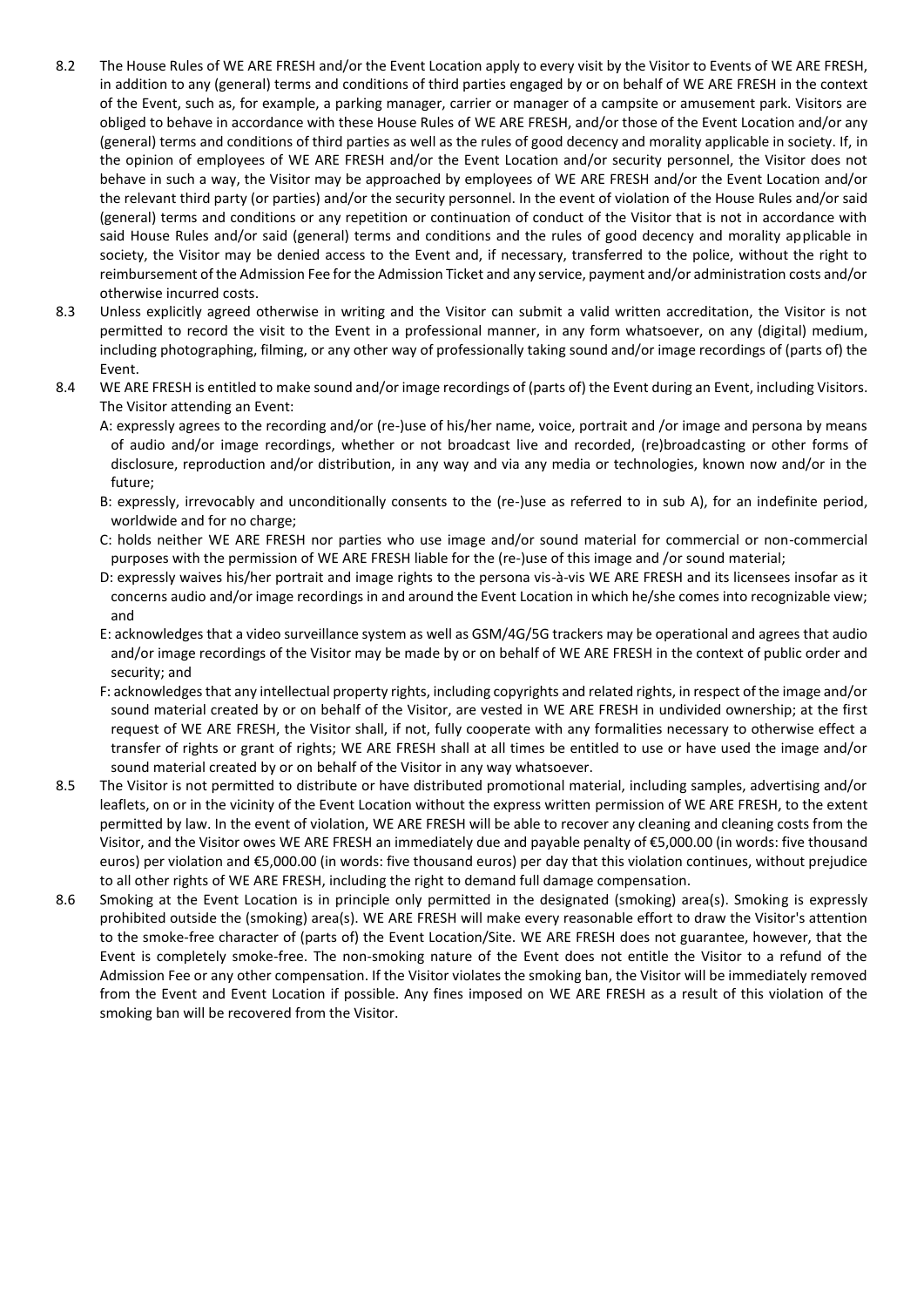- 8.2 The House Rules of WE ARE FRESH and/or the Event Location apply to every visit by the Visitor to Events of WE ARE FRESH, in addition to any (general) terms and conditions of third parties engaged by or on behalf of WE ARE FRESH in the context of the Event, such as, for example, a parking manager, carrier or manager of a campsite or amusement park. Visitors are obliged to behave in accordance with these House Rules of WE ARE FRESH, and/or those of the Event Location and/or any (general) terms and conditions of third parties as well as the rules of good decency and morality applicable in society. If, in the opinion of employees of WE ARE FRESH and/or the Event Location and/or security personnel, the Visitor does not behave in such a way, the Visitor may be approached by employees of WE ARE FRESH and/or the Event Location and/or the relevant third party (or parties) and/or the security personnel. In the event of violation of the House Rules and/or said (general) terms and conditions or any repetition or continuation of conduct of the Visitor that is not in accordance with said House Rules and/or said (general) terms and conditions and the rules of good decency and morality applicable in society, the Visitor may be denied access to the Event and, if necessary, transferred to the police, without the right to reimbursement of the Admission Fee for the Admission Ticket and any service, payment and/or administration costs and/or otherwise incurred costs.
- 8.3 Unless explicitly agreed otherwise in writing and the Visitor can submit a valid written accreditation, the Visitor is not permitted to record the visit to the Event in a professional manner, in any form whatsoever, on any (digital) medium, including photographing, filming, or any other way of professionally taking sound and/or image recordings of (parts of) the Event.
- 8.4 WE ARE FRESH is entitled to make sound and/or image recordings of (parts of) the Event during an Event, including Visitors. The Visitor attending an Event:

A: expressly agrees to the recording and/or (re-)use of his/her name, voice, portrait and /or image and persona by means of audio and/or image recordings, whether or not broadcast live and recorded, (re)broadcasting or other forms of disclosure, reproduction and/or distribution, in any way and via any media or technologies, known now and/or in the future;

- B: expressly, irrevocably and unconditionally consents to the (re-)use as referred to in sub A), for an indefinite period, worldwide and for no charge;
- C: holds neither WE ARE FRESH nor parties who use image and/or sound material for commercial or non-commercial purposes with the permission of WE ARE FRESH liable for the (re-)use of this image and /or sound material;
- D: expressly waives his/her portrait and image rights to the persona vis-à-vis WE ARE FRESH and its licensees insofar as it concerns audio and/or image recordings in and around the Event Location in which he/she comes into recognizable view; and
- E: acknowledges that a video surveillance system as well as GSM/4G/5G trackers may be operational and agrees that audio and/or image recordings of the Visitor may be made by or on behalf of WE ARE FRESH in the context of public order and security; and
- F: acknowledges that any intellectual property rights, including copyrights and related rights, in respect of the image and/or sound material created by or on behalf of the Visitor, are vested in WE ARE FRESH in undivided ownership; at the first request of WE ARE FRESH, the Visitor shall, if not, fully cooperate with any formalities necessary to otherwise effect a transfer of rights or grant of rights; WE ARE FRESH shall at all times be entitled to use or have used the image and/or sound material created by or on behalf of the Visitor in any way whatsoever.
- 8.5 The Visitor is not permitted to distribute or have distributed promotional material, including samples, advertising and/or leaflets, on or in the vicinity of the Event Location without the express written permission of WE ARE FRESH, to the extent permitted by law. In the event of violation, WE ARE FRESH will be able to recover any cleaning and cleaning costs from the Visitor, and the Visitor owes WE ARE FRESH an immediately due and payable penalty of €5,000.00 (in words: five thousand euros) per violation and €5,000.00 (in words: five thousand euros) per day that this violation continues, without prejudice to all other rights of WE ARE FRESH, including the right to demand full damage compensation.
- 8.6 Smoking at the Event Location is in principle only permitted in the designated (smoking) area(s). Smoking is expressly prohibited outside the (smoking) area(s). WE ARE FRESH will make every reasonable effort to draw the Visitor's attention to the smoke-free character of (parts of) the Event Location/Site. WE ARE FRESH does not guarantee, however, that the Event is completely smoke-free. The non-smoking nature of the Event does not entitle the Visitor to a refund of the Admission Fee or any other compensation. If the Visitor violates the smoking ban, the Visitor will be immediately removed from the Event and Event Location if possible. Any fines imposed on WE ARE FRESH as a result of this violation of the smoking ban will be recovered from the Visitor.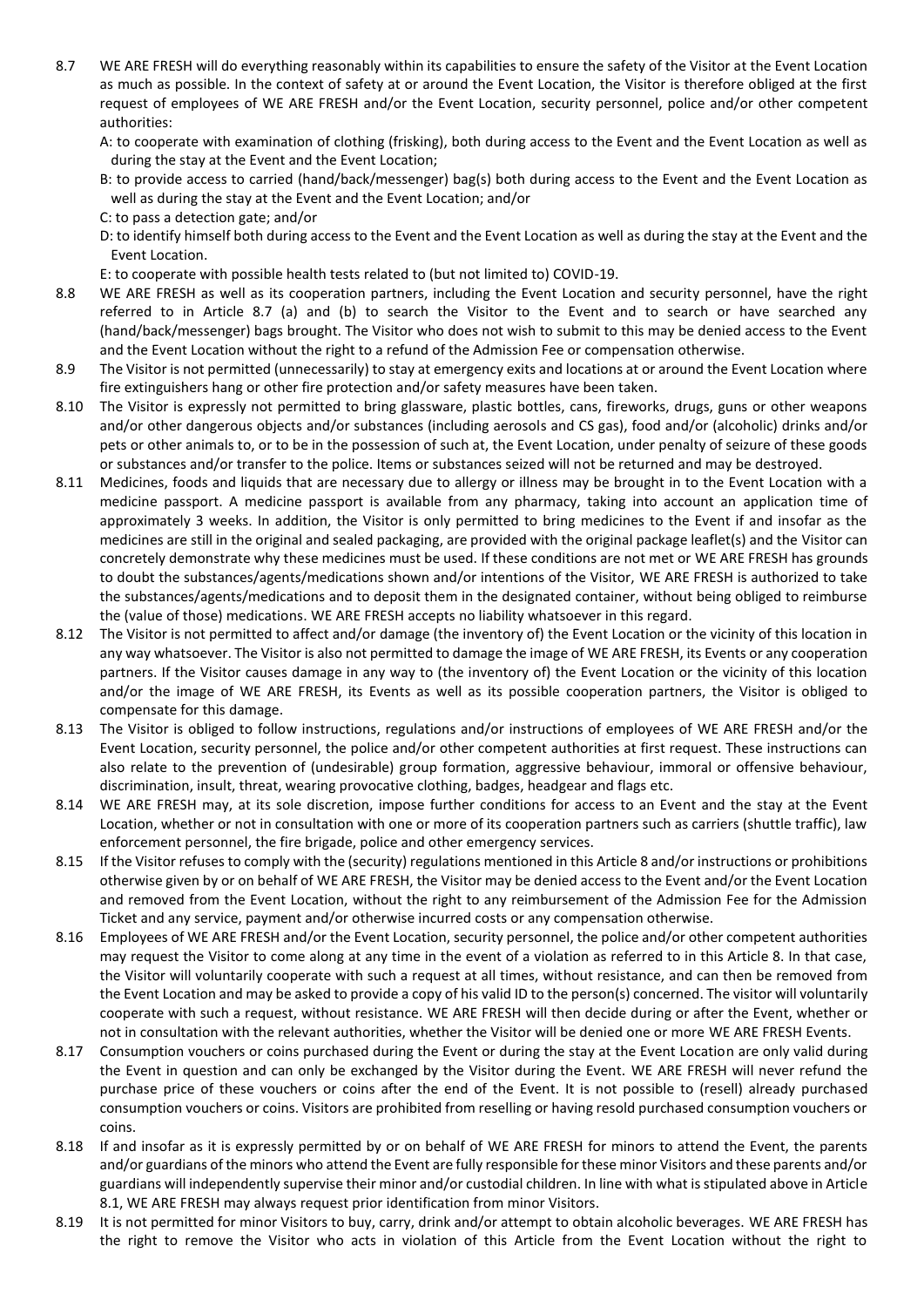- 8.7 WE ARE FRESH will do everything reasonably within its capabilities to ensure the safety of the Visitor at the Event Location as much as possible. In the context of safety at or around the Event Location, the Visitor is therefore obliged at the first request of employees of WE ARE FRESH and/or the Event Location, security personnel, police and/or other competent authorities:
	- A: to cooperate with examination of clothing (frisking), both during access to the Event and the Event Location as well as during the stay at the Event and the Event Location;
	- B: to provide access to carried (hand/back/messenger) bag(s) both during access to the Event and the Event Location as well as during the stay at the Event and the Event Location; and/or
	- C: to pass a detection gate; and/or
	- D: to identify himself both during access to the Event and the Event Location as well as during the stay at the Event and the Event Location.
	- E: to cooperate with possible health tests related to (but not limited to) COVID-19.
- 8.8 WE ARE FRESH as well as its cooperation partners, including the Event Location and security personnel, have the right referred to in Article 8.7 (a) and (b) to search the Visitor to the Event and to search or have searched any (hand/back/messenger) bags brought. The Visitor who does not wish to submit to this may be denied access to the Event and the Event Location without the right to a refund of the Admission Fee or compensation otherwise.
- 8.9 The Visitor is not permitted (unnecessarily) to stay at emergency exits and locations at or around the Event Location where fire extinguishers hang or other fire protection and/or safety measures have been taken.
- 8.10 The Visitor is expressly not permitted to bring glassware, plastic bottles, cans, fireworks, drugs, guns or other weapons and/or other dangerous objects and/or substances (including aerosols and CS gas), food and/or (alcoholic) drinks and/or pets or other animals to, or to be in the possession of such at, the Event Location, under penalty of seizure of these goods or substances and/or transfer to the police. Items or substances seized will not be returned and may be destroyed.
- 8.11 Medicines, foods and liquids that are necessary due to allergy or illness may be brought in to the Event Location with a medicine passport. A medicine passport is available from any pharmacy, taking into account an application time of approximately 3 weeks. In addition, the Visitor is only permitted to bring medicines to the Event if and insofar as the medicines are still in the original and sealed packaging, are provided with the original package leaflet(s) and the Visitor can concretely demonstrate why these medicines must be used. If these conditions are not met or WE ARE FRESH has grounds to doubt the substances/agents/medications shown and/or intentions of the Visitor, WE ARE FRESH is authorized to take the substances/agents/medications and to deposit them in the designated container, without being obliged to reimburse the (value of those) medications. WE ARE FRESH accepts no liability whatsoever in this regard.
- 8.12 The Visitor is not permitted to affect and/or damage (the inventory of) the Event Location or the vicinity of this location in any way whatsoever. The Visitor is also not permitted to damage the image of WE ARE FRESH, its Events or any cooperation partners. If the Visitor causes damage in any way to (the inventory of) the Event Location or the vicinity of this location and/or the image of WE ARE FRESH, its Events as well as its possible cooperation partners, the Visitor is obliged to compensate for this damage.
- 8.13 The Visitor is obliged to follow instructions, regulations and/or instructions of employees of WE ARE FRESH and/or the Event Location, security personnel, the police and/or other competent authorities at first request. These instructions can also relate to the prevention of (undesirable) group formation, aggressive behaviour, immoral or offensive behaviour, discrimination, insult, threat, wearing provocative clothing, badges, headgear and flags etc.
- 8.14 WE ARE FRESH may, at its sole discretion, impose further conditions for access to an Event and the stay at the Event Location, whether or not in consultation with one or more of its cooperation partners such as carriers (shuttle traffic), law enforcement personnel, the fire brigade, police and other emergency services.
- 8.15 If the Visitor refuses to comply with the (security) regulations mentioned in this Article 8 and/or instructions or prohibitions otherwise given by or on behalf of WE ARE FRESH, the Visitor may be denied access to the Event and/or the Event Location and removed from the Event Location, without the right to any reimbursement of the Admission Fee for the Admission Ticket and any service, payment and/or otherwise incurred costs or any compensation otherwise.
- 8.16 Employees of WE ARE FRESH and/or the Event Location, security personnel, the police and/or other competent authorities may request the Visitor to come along at any time in the event of a violation as referred to in this Article 8. In that case, the Visitor will voluntarily cooperate with such a request at all times, without resistance, and can then be removed from the Event Location and may be asked to provide a copy of his valid ID to the person(s) concerned. The visitor will voluntarily cooperate with such a request, without resistance. WE ARE FRESH will then decide during or after the Event, whether or not in consultation with the relevant authorities, whether the Visitor will be denied one or more WE ARE FRESH Events.
- 8.17 Consumption vouchers or coins purchased during the Event or during the stay at the Event Location are only valid during the Event in question and can only be exchanged by the Visitor during the Event. WE ARE FRESH will never refund the purchase price of these vouchers or coins after the end of the Event. It is not possible to (resell) already purchased consumption vouchers or coins. Visitors are prohibited from reselling or having resold purchased consumption vouchers or coins.
- 8.18 If and insofar as it is expressly permitted by or on behalf of WE ARE FRESH for minors to attend the Event, the parents and/or guardians of the minors who attend the Event are fully responsible for these minor Visitors and these parents and/or guardians will independently supervise their minor and/or custodial children. In line with what is stipulated above in Article 8.1, WE ARE FRESH may always request prior identification from minor Visitors.
- 8.19 It is not permitted for minor Visitors to buy, carry, drink and/or attempt to obtain alcoholic beverages. WE ARE FRESH has the right to remove the Visitor who acts in violation of this Article from the Event Location without the right to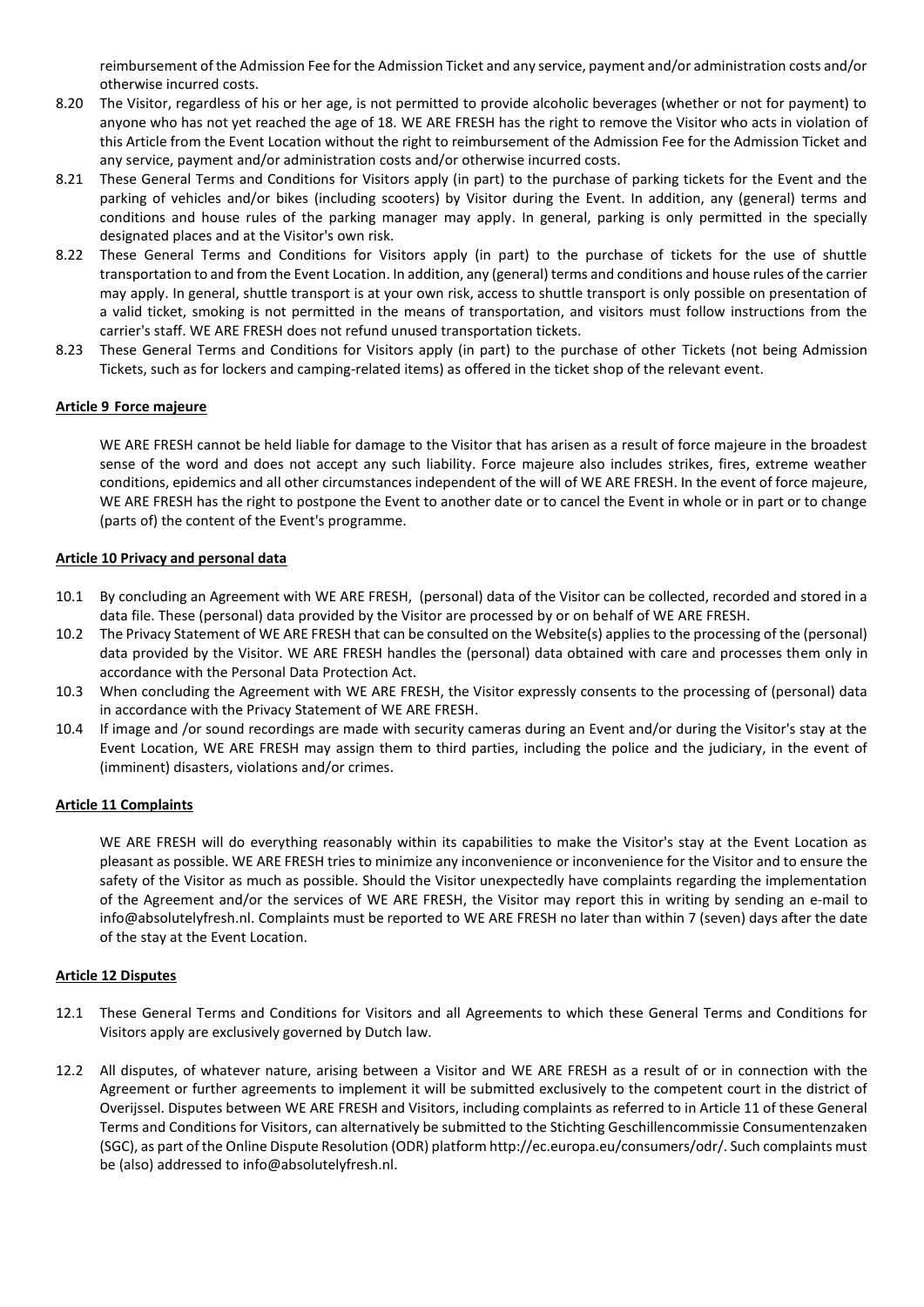reimbursement of the Admission Fee for the Admission Ticket and any service, payment and/or administration costs and/or otherwise incurred costs.

- 8.20 The Visitor, regardless of his or her age, is not permitted to provide alcoholic beverages (whether or not for payment) to anyone who has not yet reached the age of 18. WE ARE FRESH has the right to remove the Visitor who acts in violation of this Article from the Event Location without the right to reimbursement of the Admission Fee for the Admission Ticket and any service, payment and/or administration costs and/or otherwise incurred costs.
- 8.21 These General Terms and Conditions for Visitors apply (in part) to the purchase of parking tickets for the Event and the parking of vehicles and/or bikes (including scooters) by Visitor during the Event. In addition, any (general) terms and conditions and house rules of the parking manager may apply. In general, parking is only permitted in the specially designated places and at the Visitor's own risk.
- 8.22 These General Terms and Conditions for Visitors apply (in part) to the purchase of tickets for the use of shuttle transportation to and from the Event Location. In addition, any (general) terms and conditions and house rules of the carrier may apply. In general, shuttle transport is at your own risk, access to shuttle transport is only possible on presentation of a valid ticket, smoking is not permitted in the means of transportation, and visitors must follow instructions from the carrier's staff. WE ARE FRESH does not refund unused transportation tickets.
- 8.23 These General Terms and Conditions for Visitors apply (in part) to the purchase of other Tickets (not being Admission Tickets, such as for lockers and camping-related items) as offered in the ticket shop of the relevant event.

## **Article 9 Force majeure**

WE ARE FRESH cannot be held liable for damage to the Visitor that has arisen as a result of force majeure in the broadest sense of the word and does not accept any such liability. Force majeure also includes strikes, fires, extreme weather conditions, epidemics and all other circumstances independent of the will of WE ARE FRESH. In the event of force majeure, WE ARE FRESH has the right to postpone the Event to another date or to cancel the Event in whole or in part or to change (parts of) the content of the Event's programme.

## **Article 10 Privacy and personal data**

- 10.1 By concluding an Agreement with WE ARE FRESH, (personal) data of the Visitor can be collected, recorded and stored in a data file. These (personal) data provided by the Visitor are processed by or on behalf of WE ARE FRESH.
- 10.2 The Privacy Statement of WE ARE FRESH that can be consulted on the Website(s) applies to the processing of the (personal) data provided by the Visitor. WE ARE FRESH handles the (personal) data obtained with care and processes them only in accordance with the Personal Data Protection Act.
- 10.3 When concluding the Agreement with WE ARE FRESH, the Visitor expressly consents to the processing of (personal) data in accordance with the Privacy Statement of WE ARE FRESH.
- 10.4 If image and /or sound recordings are made with security cameras during an Event and/or during the Visitor's stay at the Event Location, WE ARE FRESH may assign them to third parties, including the police and the judiciary, in the event of (imminent) disasters, violations and/or crimes.

## **Article 11 Complaints**

WE ARE FRESH will do everything reasonably within its capabilities to make the Visitor's stay at the Event Location as pleasant as possible. WE ARE FRESH tries to minimize any inconvenience or inconvenience for the Visitor and to ensure the safety of the Visitor as much as possible. Should the Visitor unexpectedly have complaints regarding the implementation of the Agreement and/or the services of WE ARE FRESH, the Visitor may report this in writing by sending an e-mail to info@absolutelyfresh.nl. Complaints must be reported to WE ARE FRESH no later than within 7 (seven) days after the date of the stay at the Event Location.

## **Article 12 Disputes**

- 12.1 These General Terms and Conditions for Visitors and all Agreements to which these General Terms and Conditions for Visitors apply are exclusively governed by Dutch law.
- 12.2 All disputes, of whatever nature, arising between a Visitor and WE ARE FRESH as a result of or in connection with the Agreement or further agreements to implement it will be submitted exclusively to the competent court in the district of Overijssel. Disputes between WE ARE FRESH and Visitors, including complaints as referred to in Article 11 of these General Terms and Conditions for Visitors, can alternatively be submitted to the Stichting Geschillencommissie Consumentenzaken (SGC), as part of the Online Dispute Resolution (ODR) platform http://ec.europa.eu/consumers/odr/. Such complaints must be (also) addressed to info@absolutelyfresh.nl.